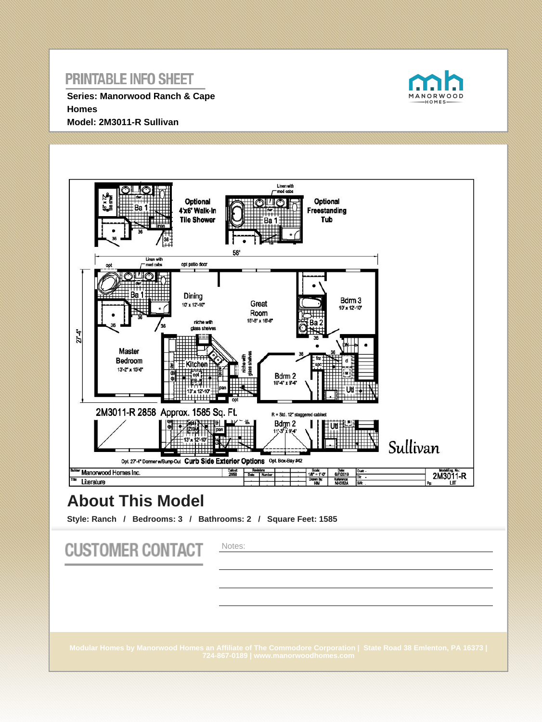**Series: Manorwood Ranch & Cape Homes Model: 2M3011-R Sullivan**





# **About This Model**

**Style: Ranch / Bedrooms: 3 / Bathrooms: 2 / Square Feet: 1585**

**CUSTOMER CONTACT** Notes: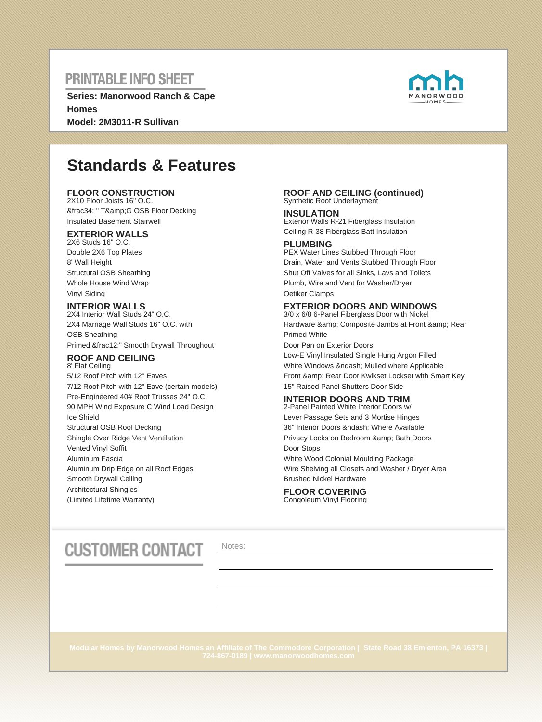**Series: Manorwood Ranch & Cape Homes Model: 2M3011-R Sullivan**



# **Standards & Features**

### **FLOOR CONSTRUCTION**

2X10 Floor Joists 16" O.C. ¾ " T&G OSB Floor Decking Insulated Basement Stairwell

### **EXTERIOR WALLS**

2X6 Studs 16" O.C. Double 2X6 Top Plates 8' Wall Height Structural OSB Sheathing Whole House Wind Wrap Vinyl Siding

### **INTERIOR WALLS**

2X4 Interior Wall Studs 24" O.C. 2X4 Marriage Wall Studs 16" O.C. with OSB Sheathing Primed ½" Smooth Drywall Throughout

#### **ROOF AND CEILING** 8' Flat Ceiling

5/12 Roof Pitch with 12" Eaves 7/12 Roof Pitch with 12" Eave (certain models) Pre-Engineered 40# Roof Trusses 24" O.C. 90 MPH Wind Exposure C Wind Load Design Ice Shield Structural OSB Roof Decking Shingle Over Ridge Vent Ventilation Vented Vinyl Soffit Aluminum Fascia Aluminum Drip Edge on all Roof Edges Smooth Drywall Ceiling Architectural Shingles (Limited Lifetime Warranty)

#### **ROOF AND CEILING (continued)** Synthetic Roof Underlayment

**INSULATION** Exterior Walls R-21 Fiberglass Insulation Ceiling R-38 Fiberglass Batt Insulation

### **PLUMBING**

PEX Water Lines Stubbed Through Floor Drain, Water and Vents Stubbed Through Floor Shut Off Valves for all Sinks, Lavs and Toilets Plumb, Wire and Vent for Washer/Dryer Oetiker Clamps

### **EXTERIOR DOORS AND WINDOWS**

3/0 x 6/8 6-Panel Fiberglass Door with Nickel Hardware & amp; Composite Jambs at Front & amp; Rear Primed White Door Pan on Exterior Doors Low-E Vinyl Insulated Single Hung Argon Filled White Windows & ndash; Mulled where Applicable Front & amp: Rear Door Kwikset Lockset with Smart Key

15" Raised Panel Shutters Door Side

### **INTERIOR DOORS AND TRIM**

2-Panel Painted White Interior Doors w/ Lever Passage Sets and 3 Mortise Hinges 36" Interior Doors – Where Available Privacy Locks on Bedroom & amp; Bath Doors Door Stops White Wood Colonial Moulding Package Wire Shelving all Closets and Washer / Dryer Area Brushed Nickel Hardware

#### **FLOOR COVERING** Congoleum Vinyl Flooring

# **CUSTOMER CONTACT**

Notes: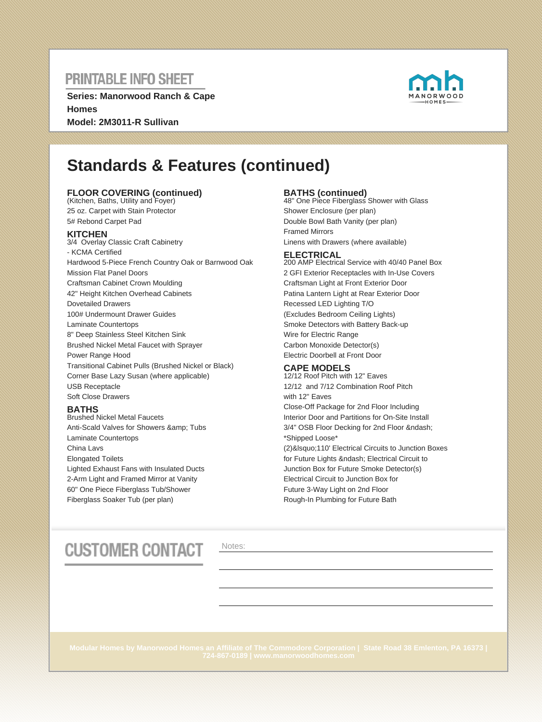**Series: Manorwood Ranch & Cape Homes Model: 2M3011-R Sullivan**



# **Standards & Features (continued)**

### **FLOOR COVERING (continued)** (Kitchen, Baths, Utility and Foyer)

25 oz. Carpet with Stain Protector 5# Rebond Carpet Pad

### **KITCHEN**

3/4 Overlay Classic Craft Cabinetry - KCMA Certified Hardwood 5-Piece French Country Oak or Barnwood Oak Mission Flat Panel Doors Craftsman Cabinet Crown Moulding 42" Height Kitchen Overhead Cabinets Dovetailed Drawers 100# Undermount Drawer Guides Laminate Countertops 8" Deep Stainless Steel Kitchen Sink Brushed Nickel Metal Faucet with Sprayer Power Range Hood Transitional Cabinet Pulls (Brushed Nickel or Black) Corner Base Lazy Susan (where applicable) USB Receptacle Soft Close Drawers

### **BATHS**

Brushed Nickel Metal Faucets Anti-Scald Valves for Showers & amp; Tubs Laminate Countertops China Lavs Elongated Toilets Lighted Exhaust Fans with Insulated Ducts 2-Arm Light and Framed Mirror at Vanity 60" One Piece Fiberglass Tub/Shower Fiberglass Soaker Tub (per plan)

**BATHS (continued)** 48" One Piece Fiberglass Shower with Glass Shower Enclosure (per plan) Double Bowl Bath Vanity (per plan) Framed Mirrors Linens with Drawers (where available)

#### **ELECTRICAL**

200 AMP Electrical Service with 40/40 Panel Box 2 GFI Exterior Receptacles with In-Use Covers Craftsman Light at Front Exterior Door Patina Lantern Light at Rear Exterior Door Recessed LED Lighting T/O (Excludes Bedroom Ceiling Lights) Smoke Detectors with Battery Back-up Wire for Electric Range Carbon Monoxide Detector(s) Electric Doorbell at Front Door

### **CAPE MODELS**

12/12 Roof Pitch with 12" Eaves 12/12 and 7/12 Combination Roof Pitch with 12" Eaves Close-Off Package for 2nd Floor Including Interior Door and Partitions for On-Site Install 3/4" OSB Floor Decking for 2nd Floor – \*Shipped Loose\* (2)&Isquo;110' Electrical Circuits to Junction Boxes for Future Lights – Electrical Circuit to Junction Box for Future Smoke Detector(s) Electrical Circuit to Junction Box for Future 3-Way Light on 2nd Floor Rough-In Plumbing for Future Bath

# **CUSTOMER CONTACT**

Notes: